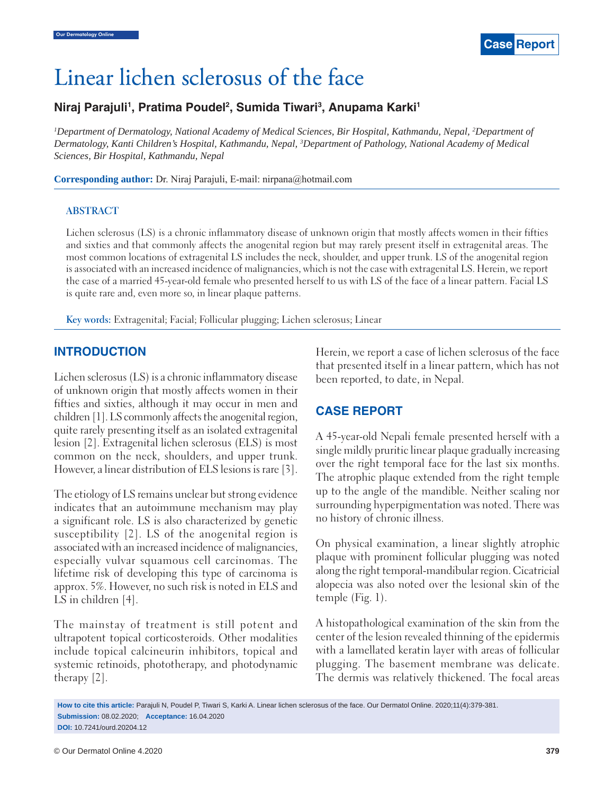

# Linear lichen sclerosus of the face

## Niraj Parajuli<sup>1</sup>, Pratima Poudel<sup>2</sup>, Sumida Tiwari<sup>3</sup>, Anupama Karki<sup>1</sup>

*1 Department of Dermatology, National Academy of Medical Sciences, Bir Hospital, Kathmandu, Nepal, 2 Department of Dermatology, Kanti Children's Hospital, Kathmandu, Nepal, 3 Department of Pathology, National Academy of Medical Sciences, Bir Hospital, Kathmandu, Nepal*

**Corresponding author:** Dr. Niraj Parajuli, E-mail: nirpana@hotmail.com

#### **ABSTRACT**

Lichen sclerosus (LS) is a chronic inflammatory disease of unknown origin that mostly affects women in their fifties and sixties and that commonly affects the anogenital region but may rarely present itself in extragenital areas. The most common locations of extragenital LS includes the neck, shoulder, and upper trunk. LS of the anogenital region is associated with an increased incidence of malignancies, which is not the case with extragenital LS. Herein, we report the case of a married 45-year-old female who presented herself to us with LS of the face of a linear pattern. Facial LS is quite rare and, even more so, in linear plaque patterns.

**Key words:** Extragenital; Facial; Follicular plugging; Lichen sclerosus; Linear

#### **INTRODUCTION**

Lichen sclerosus (LS) is a chronic inflammatory disease of unknown origin that mostly affects women in their fifties and sixties, although it may occur in men and children [1]. LS commonly affects the anogenital region, quite rarely presenting itself as an isolated extragenital lesion [2]. Extragenital lichen sclerosus (ELS) is most common on the neck, shoulders, and upper trunk. However, a linear distribution of ELS lesions is rare [3].

The etiology of LS remains unclear but strong evidence indicates that an autoimmune mechanism may play a significant role. LS is also characterized by genetic susceptibility [2]. LS of the anogenital region is associated with an increased incidence of malignancies, especially vulvar squamous cell carcinomas. The lifetime risk of developing this type of carcinoma is approx. 5%. However, no such risk is noted in ELS and LS in children [4].

The mainstay of treatment is still potent and ultrapotent topical corticosteroids. Other modalities include topical calcineurin inhibitors, topical and systemic retinoids, phototherapy, and photodynamic therapy [2].

Herein, we report a case of lichen sclerosus of the face that presented itself in a linear pattern, which has not been reported, to date, in Nepal.

### **CASE REPORT**

A 45-year-old Nepali female presented herself with a single mildly pruritic linear plaque gradually increasing over the right temporal face for the last six months. The atrophic plaque extended from the right temple up to the angle of the mandible. Neither scaling nor surrounding hyperpigmentation was noted. There was no history of chronic illness.

On physical examination, a linear slightly atrophic plaque with prominent follicular plugging was noted along the right temporal-mandibular region. Cicatricial alopecia was also noted over the lesional skin of the temple (Fig. 1).

A histopathological examination of the skin from the center of the lesion revealed thinning of the epidermis with a lamellated keratin layer with areas of follicular plugging. The basement membrane was delicate. The dermis was relatively thickened. The focal areas

**How to cite this article:** Parajuli N, Poudel P, Tiwari S, Karki A. Linear lichen sclerosus of the face. Our Dermatol Online. 2020;11(4):379-381. **Submission:** 08.02.2020; **Acceptance:** 16.04.2020 **DOI:** 10.7241/ourd.20204.12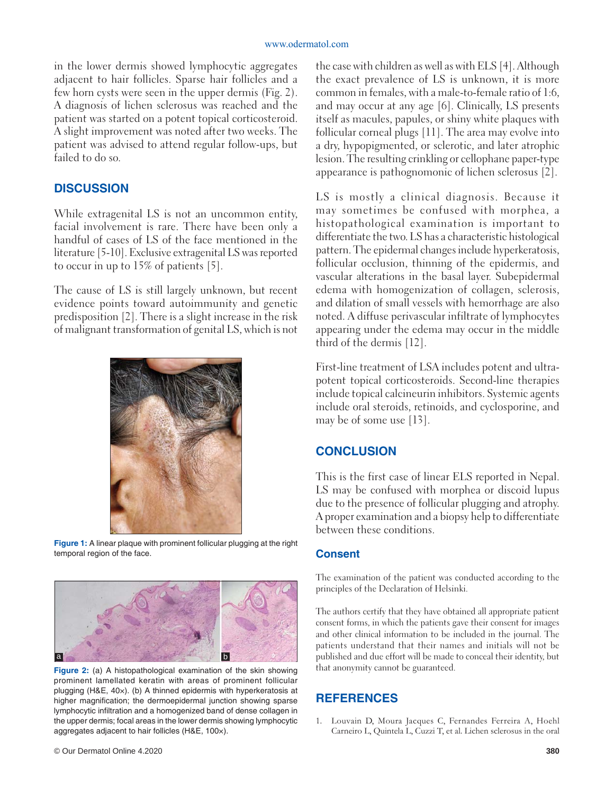in the lower dermis showed lymphocytic aggregates adjacent to hair follicles. Sparse hair follicles and a few horn cysts were seen in the upper dermis (Fig. 2). A diagnosis of lichen sclerosus was reached and the patient was started on a potent topical corticosteroid. A slight improvement was noted after two weeks. The patient was advised to attend regular follow-ups, but failed to do so.

#### **DISCUSSION**

While extragenital LS is not an uncommon entity, facial involvement is rare. There have been only a handful of cases of LS of the face mentioned in the literature [5-10]. Exclusive extragenital LS was reported to occur in up to 15% of patients [5].

The cause of LS is still largely unknown, but recent evidence points toward autoimmunity and genetic predisposition [2]. There is a slight increase in the risk of malignant transformation of genital LS, which is not



**Figure 1:** A linear plaque with prominent follicular plugging at the right temporal region of the face.



**Figure 2:** (a) A histopathological examination of the skin showing prominent lamellated keratin with areas of prominent follicular plugging (H&E, 40×). (b) A thinned epidermis with hyperkeratosis at higher magnification; the dermoepidermal junction showing sparse lymphocytic infiltration and a homogenized band of dense collagen in the upper dermis; focal areas in the lower dermis showing lymphocytic aggregates adjacent to hair follicles (H&E, 100×).

the case with children as well as with ELS [4]. Although the exact prevalence of LS is unknown, it is more common in females, with a male-to-female ratio of 1:6, and may occur at any age [6]. Clinically, LS presents itself as macules, papules, or shiny white plaques with follicular corneal plugs [11]. The area may evolve into a dry, hypopigmented, or sclerotic, and later atrophic lesion. The resulting crinkling or cellophane paper-type appearance is pathognomonic of lichen sclerosus [2].

LS is mostly a clinical diagnosis. Because it may sometimes be confused with morphea, a histopathological examination is important to differentiate the two. LS has a characteristic histological pattern. The epidermal changes include hyperkeratosis, follicular occlusion, thinning of the epidermis, and vascular alterations in the basal layer. Subepidermal edema with homogenization of collagen, sclerosis, and dilation of small vessels with hemorrhage are also noted. A diffuse perivascular infiltrate of lymphocytes appearing under the edema may occur in the middle third of the dermis [12].

First-line treatment of LSA includes potent and ultrapotent topical corticosteroids. Second-line therapies include topical calcineurin inhibitors. Systemic agents include oral steroids, retinoids, and cyclosporine, and may be of some use [13].

### **CONCLUSION**

This is the first case of linear ELS reported in Nepal. LS may be confused with morphea or discoid lupus due to the presence of follicular plugging and atrophy. A proper examination and a biopsy help to differentiate between these conditions.

#### **Consent**

The examination of the patient was conducted according to the principles of the Declaration of Helsinki.

The authors certify that they have obtained all appropriate patient consent forms, in which the patients gave their consent for images and other clinical information to be included in the journal. The patients understand that their names and initials will not be published and due effort will be made to conceal their identity, but that anonymity cannot be guaranteed.

### **REFERENCES**

1. Louvain D, Moura Jacques C, Fernandes Ferreira A, Hoehl Carneiro L, Quintela L, Cuzzi T, et al. Lichen sclerosus in the oral